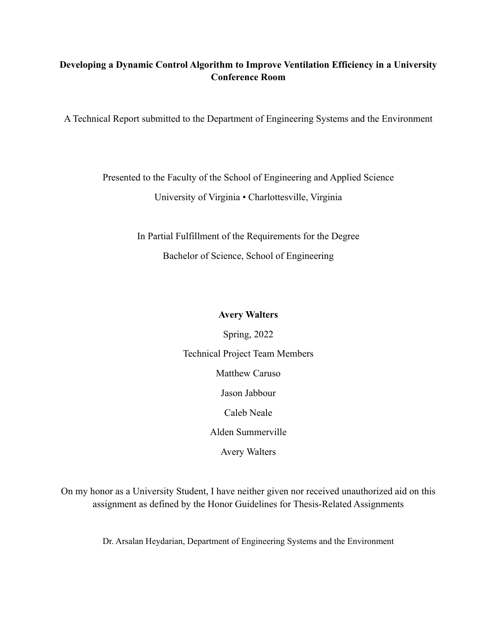## **Developing a Dynamic Control Algorithm to Improve Ventilation Efficiency in a University Conference Room**

A Technical Report submitted to the Department of Engineering Systems and the Environment

Presented to the Faculty of the School of Engineering and Applied Science University of Virginia • Charlottesville, Virginia

> In Partial Fulfillment of the Requirements for the Degree Bachelor of Science, School of Engineering

## **Avery Walters**

Spring, 2022 Technical Project Team Members Matthew Caruso Jason Jabbour Caleb Neale Alden Summerville Avery Walters

On my honor as a University Student, I have neither given nor received unauthorized aid on this assignment as defined by the Honor Guidelines for Thesis-Related Assignments

Dr. Arsalan Heydarian, Department of Engineering Systems and the Environment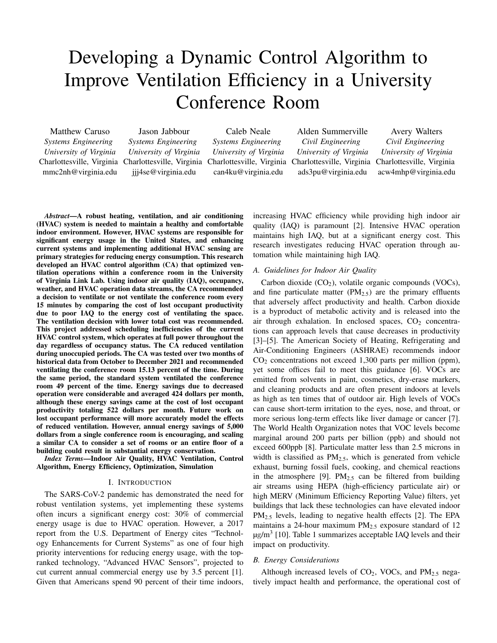# Developing a Dynamic Control Algorithm to Improve Ventilation Efficiency in a University Conference Room

Matthew Caruso *Systems Engineering University of Virginia* Charlottesville, Virginia mmc2nh@virginia.edu

Jason Jabbour *Systems Engineering University of Virginia* Charlottesville, Virginia jjj4se@virginia.edu

Caleb Neale *Systems Engineering University of Virginia* Charlottesville, Virginia can4ku@virginia.edu

Alden Summerville *Civil Engineering University of Virginia* Charlottesville, Virginia ads3pu@virginia.edu

Avery Walters *Civil Engineering University of Virginia* Charlottesville, Virginia acw4mhp@virginia.edu

*Abstract*—A robust heating, ventilation, and air conditioning (HVAC) system is needed to maintain a healthy and comfortable indoor environment. However, HVAC systems are responsible for significant energy usage in the United States, and enhancing current systems and implementing additional HVAC sensing are primary strategies for reducing energy consumption. This research developed an HVAC control algorithm (CA) that optimized ventilation operations within a conference room in the University of Virginia Link Lab. Using indoor air quality (IAQ), occupancy, weather, and HVAC operation data streams, the CA recommended a decision to ventilate or not ventilate the conference room every 15 minutes by comparing the cost of lost occupant productivity due to poor IAQ to the energy cost of ventilating the space. The ventilation decision with lower total cost was recommended. This project addressed scheduling inefficiencies of the current HVAC control system, which operates at full power throughout the day regardless of occupancy status. The CA reduced ventilation during unoccupied periods. The CA was tested over two months of historical data from October to December 2021 and recommended ventilating the conference room 15.13 percent of the time. During the same period, the standard system ventilated the conference room 49 percent of the time. Energy savings due to decreased operation were considerable and averaged 424 dollars per month, although these energy savings came at the cost of lost occupant productivity totaling 522 dollars per month. Future work on lost occupant performance will more accurately model the effects of reduced ventilation. However, annual energy savings of 5,000 dollars from a single conference room is encouraging, and scaling a similar CA to consider a set of rooms or an entire floor of a building could result in substantial energy conservation.

*Index Terms*—Indoor Air Quality, HVAC Ventilation, Control Algorithm, Energy Efficiency, Optimization, Simulation

#### I. INTRODUCTION

The SARS-CoV-2 pandemic has demonstrated the need for robust ventilation systems, yet implementing these systems often incurs a significant energy cost: 30% of commercial energy usage is due to HVAC operation. However, a 2017 report from the U.S. Department of Energy cites "Technology Enhancements for Current Systems" as one of four high priority interventions for reducing energy usage, with the topranked technology, "Advanced HVAC Sensors", projected to cut current annual commercial energy use by 3.5 percent [1]. Given that Americans spend 90 percent of their time indoors, increasing HVAC efficiency while providing high indoor air quality (IAQ) is paramount [2]. Intensive HVAC operation maintains high IAQ, but at a significant energy cost. This research investigates reducing HVAC operation through automation while maintaining high IAQ.

### *A. Guidelines for Indoor Air Quality*

Carbon dioxide  $(CO_2)$ , volatile organic compounds (VOCs), and fine particulate matter  $(PM_{2.5})$  are the primary effluents that adversely affect productivity and health. Carbon dioxide is a byproduct of metabolic activity and is released into the air through exhalation. In enclosed spaces,  $CO<sub>2</sub>$  concentrations can approach levels that cause decreases in productivity [3]–[5]. The American Society of Heating, Refrigerating and Air-Conditioning Engineers (ASHRAE) recommends indoor  $CO<sub>2</sub>$  concentrations not exceed 1,300 parts per million (ppm), yet some offices fail to meet this guidance [6]. VOCs are emitted from solvents in paint, cosmetics, dry-erase markers, and cleaning products and are often present indoors at levels as high as ten times that of outdoor air. High levels of VOCs can cause short-term irritation to the eyes, nose, and throat, or more serious long-term effects like liver damage or cancer [7]. The World Health Organization notes that VOC levels become marginal around 200 parts per billion (ppb) and should not exceed 600ppb [8]. Particulate matter less than 2.5 microns in width is classified as  $PM_{2.5}$ , which is generated from vehicle exhaust, burning fossil fuels, cooking, and chemical reactions in the atmosphere [9].  $PM<sub>2.5</sub>$  can be filtered from building air streams using HEPA (high-efficiency particulate air) or high MERV (Minimum Efficiency Reporting Value) filters, yet buildings that lack these technologies can have elevated indoor PM<sub>2.5</sub> levels, leading to negative health effects [2]. The EPA maintains a 24-hour maximum  $PM<sub>2.5</sub>$  exposure standard of 12  $\mu$ g/m<sup>3</sup> [10]. Table 1 summarizes acceptable IAQ levels and their impact on productivity.

#### *B. Energy Considerations*

Although increased levels of  $CO<sub>2</sub>$ , VOCs, and PM<sub>2.5</sub> negatively impact health and performance, the operational cost of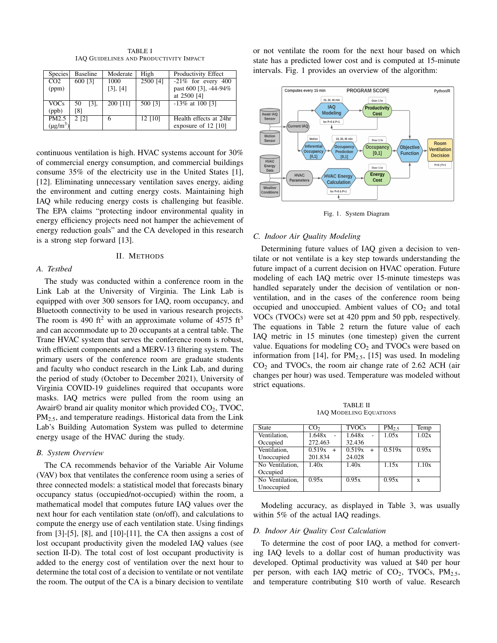| <b>Species</b>   | <b>Baseline</b>        | Moderate | High     | Productivity Effect    |
|------------------|------------------------|----------|----------|------------------------|
| $\overline{CO2}$ | 600 [3]                | 1000     | 2500 [4] | $-21\%$ for every 400  |
| (ppm)            |                        | [3], [4] |          | past 600 [3], -44-94%  |
|                  |                        |          |          | at 2500 [4]            |
| <b>VOCs</b>      | 50<br>$\left[3\right]$ | 200 [11] | 500 [3]  | $-13\%$ at 100 [3]     |
| (ppb)            | [8]                    |          |          |                        |
| PM2.5            | $2$ [2]                | O        | 12 [10]  | Health effects at 24hr |
| $(\mu g/m^3)$    |                        |          |          | exposure of $12$ [10]  |

TABLE I IAQ GUIDELINES AND PRODUCTIVITY IMPACT

continuous ventilation is high. HVAC systems account for 30% of commercial energy consumption, and commercial buildings consume 35% of the electricity use in the United States [1], [12]. Eliminating unnecessary ventilation saves energy, aiding the environment and cutting energy costs. Maintaining high IAQ while reducing energy costs is challenging but feasible. The EPA claims "protecting indoor environmental quality in energy efficiency projects need not hamper the achievement of energy reduction goals" and the CA developed in this research is a strong step forward [13].

#### II. METHODS

#### *A. Testbed*

The study was conducted within a conference room in the Link Lab at the University of Virginia. The Link Lab is equipped with over 300 sensors for IAQ, room occupancy, and Bluetooth connectivity to be used in various research projects. The room is 490 ft<sup>2</sup> with an approximate volume of 4575 ft<sup>3</sup> and can accommodate up to 20 occupants at a central table. The Trane HVAC system that serves the conference room is robust, with efficient components and a MERV-13 filtering system. The primary users of the conference room are graduate students and faculty who conduct research in the Link Lab, and during the period of study (October to December 2021), University of Virginia COVID-19 guidelines required that occupants wore masks. IAQ metrics were pulled from the room using an Awair $\odot$  brand air quality monitor which provided  $CO<sub>2</sub>$ , TVOC,  $PM<sub>2.5</sub>$ , and temperature readings. Historical data from the Link Lab's Building Automation System was pulled to determine energy usage of the HVAC during the study.

#### *B. System Overview*

The CA recommends behavior of the Variable Air Volume (VAV) box that ventilates the conference room using a series of three connected models: a statistical model that forecasts binary occupancy status (occupied/not-occupied) within the room, a mathematical model that computes future IAQ values over the next hour for each ventilation state (on/off), and calculations to compute the energy use of each ventilation state. Using findings from  $[3]-[5]$ ,  $[8]$ , and  $[10]-[11]$ , the CA then assigns a cost of lost occupant productivity given the modeled IAQ values (see section II-D). The total cost of lost occupant productivity is added to the energy cost of ventilation over the next hour to determine the total cost of a decision to ventilate or not ventilate the room. The output of the CA is a binary decision to ventilate

or not ventilate the room for the next hour based on which state has a predicted lower cost and is computed at 15-minute intervals. Fig. 1 provides an overview of the algorithm:



Fig. 1. System Diagram

#### *C. Indoor Air Quality Modeling*

Determining future values of IAQ given a decision to ventilate or not ventilate is a key step towards understanding the future impact of a current decision on HVAC operation. Future modeling of each IAQ metric over 15-minute timesteps was handled separately under the decision of ventilation or nonventilation, and in the cases of the conference room being occupied and unoccupied. Ambient values of  $CO<sub>2</sub>$  and total VOCs (TVOCs) were set at 420 ppm and 50 ppb, respectively. The equations in Table 2 return the future value of each IAQ metric in 15 minutes (one timestep) given the current value. Equations for modeling  $CO<sub>2</sub>$  and TVOCs were based on information from [14], for  $PM_{2.5}$ , [15] was used. In modeling  $CO<sub>2</sub>$  and TVOCs, the room air change rate of 2.62 ACH (air changes per hour) was used. Temperature was modeled without strict equations.

TABLE II IAQ MODELING EQUATIONS

| CO <sub>2</sub> | <b>TVOCs</b>  | $PM_2$ | Temp  |
|-----------------|---------------|--------|-------|
| 1.648x          | 1.648x        | 1.05x  | 1.02x |
| 272.463         | 32.436        |        |       |
| 0.519x<br>$+$   | 0.519x<br>$+$ | 0.519x | 0.95x |
| 201.834         | 24.028        |        |       |
| 1.40x           | 1.40x         | 1.15x  | 1.10x |
|                 |               |        |       |
| 0.95x           | 0.95x         | 0.95x  | X     |
|                 |               |        |       |
|                 |               |        |       |

Modeling accuracy, as displayed in Table 3, was usually within 5% of the actual IAQ readings.

#### *D. Indoor Air Quality Cost Calculation*

To determine the cost of poor IAQ, a method for converting IAQ levels to a dollar cost of human productivity was developed. Optimal productivity was valued at \$40 per hour per person, with each IAQ metric of  $CO<sub>2</sub>$ , TVOCs, PM<sub>2.5</sub>, and temperature contributing \$10 worth of value. Research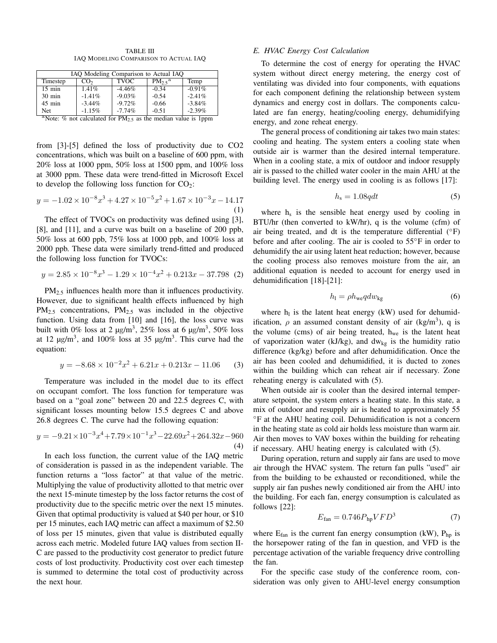TABLE III IAQ MODELING COMPARISON TO ACTUAL IAQ

| IAQ Modeling Comparison to Actual IAQ                                          |                 |             |                  |           |  |
|--------------------------------------------------------------------------------|-----------------|-------------|------------------|-----------|--|
| Timestep                                                                       | CO <sub>2</sub> | <b>TVOC</b> | $PM_2$ $\zeta^a$ | Temp      |  |
| $15 \text{ min}$                                                               | 1.41%           | $-4.46%$    | $-0.34$          | $-0.91\%$ |  |
| $30 \text{ min}$                                                               | $-1.41%$        | $-9.03%$    | $-0.54$          | $-2.41%$  |  |
| $45$ min                                                                       | $-3.44\%$       | $-9.72%$    | $-0.66$          | $-3.84%$  |  |
| Net                                                                            | $-1.15%$        | $-7.74%$    | $-0.51$          | $-2.39%$  |  |
| <sup>a</sup> Note: % not calculated for $PM_{2.5}$ as the median value is 1ppm |                 |             |                  |           |  |

from [3]-[5] defined the loss of productivity due to CO2 concentrations, which was built on a baseline of 600 ppm, with 20% loss at 1000 ppm, 50% loss at 1500 ppm, and 100% loss at 3000 ppm. These data were trend-fitted in Microsoft Excel to develop the following loss function for  $CO<sub>2</sub>$ :

$$
y = -1.02 \times 10^{-8} x^3 + 4.27 \times 10^{-5} x^2 + 1.67 \times 10^{-3} x - 14.17
$$
  
(1)

The effect of TVOCs on productivity was defined using [3], [8], and [11], and a curve was built on a baseline of 200 ppb, 50% loss at 600 ppb, 75% loss at 1000 ppb, and 100% loss at 2000 ppb. These data were similarly trend-fitted and produced the following loss function for TVOCs:

$$
y = 2.85 \times 10^{-8} x^3 - 1.29 \times 10^{-4} x^2 + 0.213x - 37.798
$$
 (2)

PM<sub>2.5</sub> influences health more than it influences productivity. However, due to significant health effects influenced by high  $PM_{2.5}$  concentrations,  $PM_{2.5}$  was included in the objective function. Using data from [10] and [16], the loss curve was built with 0% loss at 2  $\mu$ g/m<sup>3</sup>, 25% loss at 6  $\mu$ g/m<sup>3</sup>, 50% loss at 12  $\mu$ g/m<sup>3</sup>, and 100% loss at 35  $\mu$ g/m<sup>3</sup>. This curve had the equation:

$$
y = -8.68 \times 10^{-2} x^2 + 6.21x + 0.213x - 11.06
$$
 (3)

Temperature was included in the model due to its effect on occupant comfort. The loss function for temperature was based on a "goal zone" between 20 and 22.5 degrees C, with significant losses mounting below 15.5 degrees C and above 26.8 degrees C. The curve had the following equation:

$$
y = -9.21 \times 10^{-3} x^{4} + 7.79 \times 10^{-1} x^{3} - 22.69 x^{2} + 264.32 x - 960
$$
\n(4)

In each loss function, the current value of the IAQ metric of consideration is passed in as the independent variable. The function returns a "loss factor" at that value of the metric. Multiplying the value of productivity allotted to that metric over the next 15-minute timestep by the loss factor returns the cost of productivity due to the specific metric over the next 15 minutes. Given that optimal productivity is valued at \$40 per hour, or \$10 per 15 minutes, each IAQ metric can affect a maximum of \$2.50 of loss per 15 minutes, given that value is distributed equally across each metric. Modeled future IAQ values from section II-C are passed to the productivity cost generator to predict future costs of lost productivity. Productivity cost over each timestep is summed to determine the total cost of productivity across the next hour.

#### *E. HVAC Energy Cost Calculation*

To determine the cost of energy for operating the HVAC system without direct energy metering, the energy cost of ventilating was divided into four components, with equations for each component defining the relationship between system dynamics and energy cost in dollars. The components calculated are fan energy, heating/cooling energy, dehumidifying energy, and zone reheat energy.

The general process of conditioning air takes two main states: cooling and heating. The system enters a cooling state when outside air is warmer than the desired internal temperature. When in a cooling state, a mix of outdoor and indoor resupply air is passed to the chilled water cooler in the main AHU at the building level. The energy used in cooling is as follows [17]:

$$
h_{\rm s} = 1.08qdt\tag{5}
$$

where  $h_s$  is the sensible heat energy used by cooling in BTU/hr (then converted to kW/hr), q is the volume (cfm) of air being treated, and dt is the temperature differential  $(°F)$ before and after cooling. The air is cooled to 55◦F in order to dehumidify the air using latent heat reduction; however, because the cooling process also removes moisture from the air, an additional equation is needed to account for energy used in dehumidification [18]-[21]:

$$
h_{\rm l} = \rho h_{\rm we} q dw_{\rm kg} \tag{6}
$$

where  $h<sub>l</sub>$  is the latent heat energy (kW) used for dehumidification,  $\rho$  an assumed constant density of air (kg/m<sup>3</sup>), q is the volume (cms) of air being treated,  $h_{we}$  is the latent heat of vaporization water (kJ/kg), and  $dw_{kg}$  is the humidity ratio difference (kg/kg) before and after dehumidification. Once the air has been cooled and dehumidified, it is ducted to zones within the building which can reheat air if necessary. Zone reheating energy is calculated with (5).

When outside air is cooler than the desired internal temperature setpoint, the system enters a heating state. In this state, a mix of outdoor and resupply air is heated to approximately 55 ◦F at the AHU heating coil. Dehumidification is not a concern in the heating state as cold air holds less moisture than warm air. Air then moves to VAV boxes within the building for reheating if necessary. AHU heating energy is calculated with (5).

During operation, return and supply air fans are used to move air through the HVAC system. The return fan pulls "used" air from the building to be exhausted or reconditioned, while the supply air fan pushes newly conditioned air from the AHU into the building. For each fan, energy consumption is calculated as follows [22]:

$$
E_{\text{fan}} = 0.746 P_{\text{hp}} VFD^3 \tag{7}
$$

where  $E_{fan}$  is the current fan energy consumption (kW),  $P_{hp}$  is the horsepower rating of the fan in question, and VFD is the percentage activation of the variable frequency drive controlling the fan.

For the specific case study of the conference room, consideration was only given to AHU-level energy consumption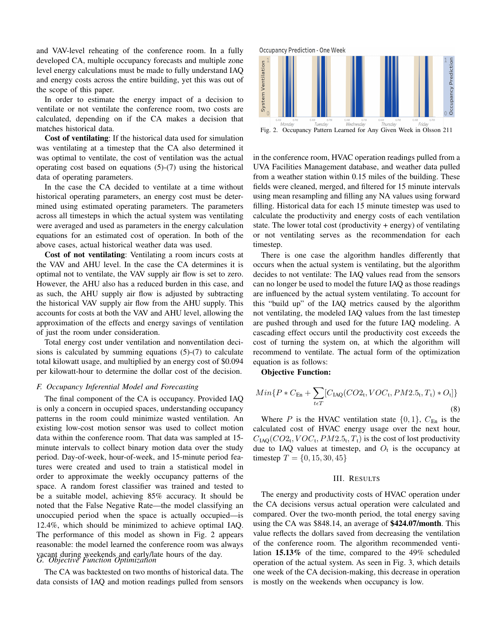and VAV-level reheating of the conference room. In a fully developed CA, multiple occupancy forecasts and multiple zone level energy calculations must be made to fully understand IAQ and energy costs across the entire building, yet this was out of the scope of this paper.

In order to estimate the energy impact of a decision to ventilate or not ventilate the conference room, two costs are calculated, depending on if the CA makes a decision that matches historical data.

Cost of ventilating: If the historical data used for simulation was ventilating at a timestep that the CA also determined it was optimal to ventilate, the cost of ventilation was the actual operating cost based on equations (5)-(7) using the historical data of operating parameters.

In the case the CA decided to ventilate at a time without historical operating parameters, an energy cost must be determined using estimated operating parameters. The parameters across all timesteps in which the actual system was ventilating were averaged and used as parameters in the energy calculation equations for an estimated cost of operation. In both of the above cases, actual historical weather data was used.

Cost of not ventilating: Ventilating a room incurs costs at the VAV and AHU level. In the case the CA determines it is optimal not to ventilate, the VAV supply air flow is set to zero. However, the AHU also has a reduced burden in this case, and as such, the AHU supply air flow is adjusted by subtracting the historical VAV supply air flow from the AHU supply. This accounts for costs at both the VAV and AHU level, allowing the approximation of the effects and energy savings of ventilation of just the room under consideration.

Total energy cost under ventilation and nonventilation decisions is calculated by summing equations (5)-(7) to calculate total kilowatt usage, and multiplied by an energy cost of \$0.094 per kilowatt-hour to determine the dollar cost of the decision.

#### *F. Occupancy Inferential Model and Forecasting*

The final component of the CA is occupancy. Provided IAQ is only a concern in occupied spaces, understanding occupancy patterns in the room could minimize wasted ventilation. An existing low-cost motion sensor was used to collect motion data within the conference room. That data was sampled at 15 minute intervals to collect binary motion data over the study period. Day-of-week, hour-of-week, and 15-minute period features were created and used to train a statistical model in order to approximate the weekly occupancy patterns of the space. A random forest classifier was trained and tested to be a suitable model, achieving 85% accuracy. It should be noted that the False Negative Rate—the model classifying an unoccupied period when the space is actually occupied—is 12.4%, which should be minimized to achieve optimal IAQ. The performance of this model as shown in Fig. 2 appears reasonable: the model learned the conference room was always vacant during weekends and early/late hours of the day. *G. Objective Function Optimization*

The CA was backtested on two months of historical data. The data consists of IAQ and motion readings pulled from sensors



in the conference room, HVAC operation readings pulled from a UVA Facilities Management database, and weather data pulled from a weather station within 0.15 miles of the building. These fields were cleaned, merged, and filtered for 15 minute intervals using mean resampling and filling any NA values using forward filling. Historical data for each 15 minute timestep was used to calculate the productivity and energy costs of each ventilation state. The lower total cost (productivity  $+$  energy) of ventilating or not ventilating serves as the recommendation for each timestep.

There is one case the algorithm handles differently that occurs when the actual system is ventilating, but the algorithm decides to not ventilate: The IAQ values read from the sensors can no longer be used to model the future IAQ as those readings are influenced by the actual system ventilating. To account for this "build up" of the IAQ metrics caused by the algorithm not ventilating, the modeled IAQ values from the last timestep are pushed through and used for the future IAQ modeling. A cascading effect occurs until the productivity cost exceeds the cost of turning the system on, at which the algorithm will recommend to ventilate. The actual form of the optimization equation is as follows:

Objective Function:

$$
Min\{P*C_{En} + \sum_{t \in T} [C_{IAQ}(CO2_t, VOC_t, PM2.5_t, T_t) * O_t]\}\
$$
\n(8)

Where P is the HVAC ventilation state  $\{0, 1\}$ ,  $C_{En}$  is the calculated cost of HVAC energy usage over the next hour,  $C_{IAQ}(CO_{2t}, VOC_{t}, PM2.5_{t}, T_{t})$  is the cost of lost productivity due to IAQ values at timestep, and  $O_t$  is the occupancy at timestep  $T = \{0, 15, 30, 45\}$ 

#### III. RESULTS

The energy and productivity costs of HVAC operation under the CA decisions versus actual operation were calculated and compared. Over the two-month period, the total energy saving using the CA was \$848.14, an average of \$424.07/month. This value reflects the dollars saved from decreasing the ventilation of the conference room. The algorithm recommended ventilation 15.13% of the time, compared to the 49% scheduled operation of the actual system. As seen in Fig. 3, which details one week of the CA decision-making, this decrease in operation is mostly on the weekends when occupancy is low.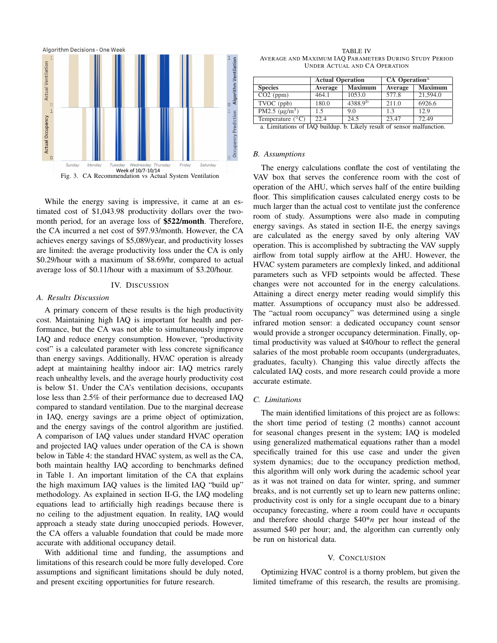

While the energy saving is impressive, it came at an estimated cost of \$1,043.98 productivity dollars over the twomonth period, for an average loss of \$522/month. Therefore, the CA incurred a net cost of \$97.93/month. However, the CA achieves energy savings of \$5,089/year, and productivity losses are limited: the average productivity loss under the CA is only \$0.29/hour with a maximum of \$8.69/hr, compared to actual average loss of \$0.11/hour with a maximum of \$3.20/hour.

#### IV. DISCUSSION

#### *A. Results Discussion*

A primary concern of these results is the high productivity cost. Maintaining high IAQ is important for health and performance, but the CA was not able to simultaneously improve IAQ and reduce energy consumption. However, "productivity cost" is a calculated parameter with less concrete significance than energy savings. Additionally, HVAC operation is already adept at maintaining healthy indoor air: IAQ metrics rarely reach unhealthy levels, and the average hourly productivity cost is below \$1. Under the CA's ventilation decisions, occupants lose less than 2.5% of their performance due to decreased IAQ compared to standard ventilation. Due to the marginal decrease in IAQ, energy savings are a prime object of optimization, and the energy savings of the control algorithm are justified. A comparison of IAQ values under standard HVAC operation and projected IAQ values under operation of the CA is shown below in Table 4: the standard HVAC system, as well as the CA, both maintain healthy IAQ according to benchmarks defined in Table 1. An important limitation of the CA that explains the high maximum IAQ values is the limited IAQ "build up" methodology. As explained in section II-G, the IAQ modeling equations lead to artificially high readings because there is no ceiling to the adjustment equation. In reality, IAQ would approach a steady state during unoccupied periods. However, the CA offers a valuable foundation that could be made more accurate with additional occupancy detail.

With additional time and funding, the assumptions and limitations of this research could be more fully developed. Core assumptions and significant limitations should be duly noted, and present exciting opportunities for future research.

TABLE IV AVERAGE AND MAXIMUM IAQ PARAMETERS DURING STUDY PERIOD UNDER ACTUAL AND CA OPERATION

|                                | <b>Actual Operation</b> |                     | CA Operation <sup>a</sup> |                |
|--------------------------------|-------------------------|---------------------|---------------------------|----------------|
| <b>Species</b>                 | Average                 | <b>Maximum</b>      | Average                   | <b>Maximum</b> |
| $CO2$ (ppm)                    | 464.1                   | 1053.0              | 577.8                     | 21,594.0       |
| $\overline{\text{TVOC (ppb)}}$ | 180.0                   | 4388.9 <sup>b</sup> | 211.0                     | 6926.6         |
| PM2.5 $(\mu g/m^3)$            | 1.5                     | 9.0                 | 1.3                       | 12.9           |
| Temperature $(^{\circ}C)$      | 22.4                    | 24.5                | 23.47                     | 72.49          |

#### a. Limitations of IAQ buildup. b. Likely result of sensor malfunction.

#### *B. Assumptions*

The energy calculations conflate the cost of ventilating the VAV box that serves the conference room with the cost of operation of the AHU, which serves half of the entire building floor. This simplification causes calculated energy costs to be much larger than the actual cost to ventilate just the conference room of study. Assumptions were also made in computing energy savings. As stated in section II-E, the energy savings are calculated as the energy saved by only altering VAV operation. This is accomplished by subtracting the VAV supply airflow from total supply airflow at the AHU. However, the HVAC system parameters are complexly linked, and additional parameters such as VFD setpoints would be affected. These changes were not accounted for in the energy calculations. Attaining a direct energy meter reading would simplify this matter. Assumptions of occupancy must also be addressed. The "actual room occupancy" was determined using a single infrared motion sensor: a dedicated occupancy count sensor would provide a stronger occupancy determination. Finally, optimal productivity was valued at \$40/hour to reflect the general salaries of the most probable room occupants (undergraduates, graduates, faculty). Changing this value directly affects the calculated IAQ costs, and more research could provide a more accurate estimate.

#### *C. Limitations*

The main identified limitations of this project are as follows: the short time period of testing (2 months) cannot account for seasonal changes present in the system; IAQ is modeled using generalized mathematical equations rather than a model specifically trained for this use case and under the given system dynamics; due to the occupancy prediction method, this algorithm will only work during the academic school year as it was not trained on data for winter, spring, and summer breaks, and is not currently set up to learn new patterns online; productivity cost is only for a single occupant due to a binary occupancy forecasting, where a room could have *n* occupants and therefore should charge \$40\**n* per hour instead of the assumed \$40 per hour; and, the algorithm can currently only be run on historical data.

#### V. CONCLUSION

Optimizing HVAC control is a thorny problem, but given the limited timeframe of this research, the results are promising.